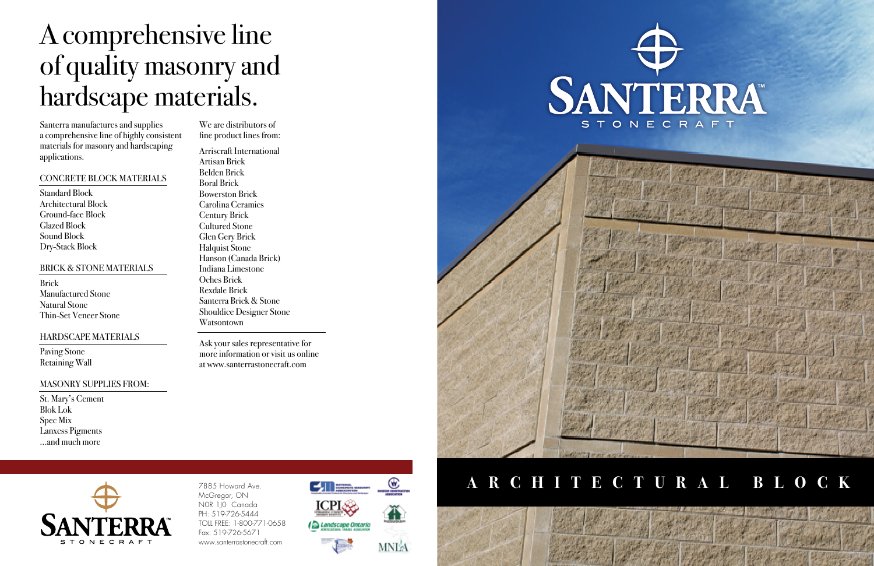# A comprehensive line of quality masonry and hardscape materials.

Santerra manufactures and supplies a comprehensive line of highly consistent materials for masonry and hardscaping applications.

## CONCRETE BLOCK MATERIALS

Standard Block Architectural Block Ground-face Block Glazed Block Sound Block Dry-Stack Block

## BRICK & STONE MATERIALS

Brick Manufactured Stone Natural Stone Thin-Set Veneer Stone

# HARDSCAPE MATERIALS

Paving Stone Retaining Wall

# MASONRY SUPPLIES FROM:

St. Mary's Cement Blok Lok Spec Mix Lanxess Pigments ...and much more

> 7885 Howard Ave. McGregor, ON N0R 1J0 Canada PH: 519-726-5444 TOLL FREE: 1-800-771-0658 Fax: 519-726-5671 www.santerrastonecraft.com





We are distributors of fine product lines from:

Arriscraft International Artisan Brick Belden Brick Boral Brick Bowerston Brick Carolina Ceramics Century Brick Cultured Stone Glen Gery Brick Halquist Stone Hanson (Canada Brick) Indiana Limestone Oches Brick Rexdale Brick Santerra Brick & Stone Shouldice Designer Stone Watsontown

Ask your sales representative for more information or visit us online at www.santerrastonecraft.com



# **A R C H I T E C T U R A L B L O C K**